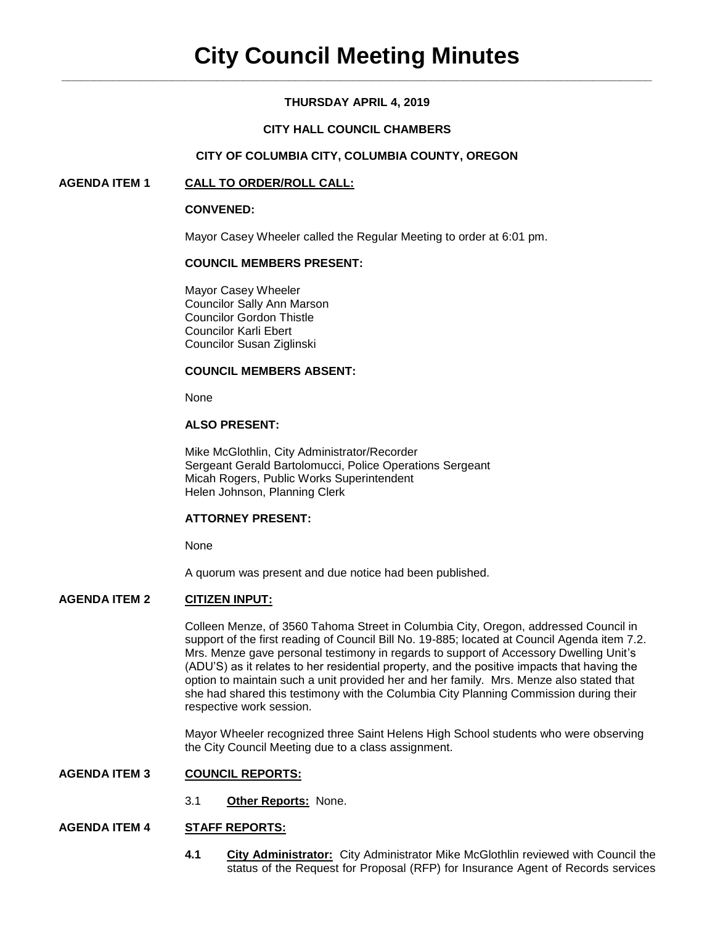# **THURSDAY APRIL 4, 2019**

# **CITY HALL COUNCIL CHAMBERS**

### **CITY OF COLUMBIA CITY, COLUMBIA COUNTY, OREGON**

### **AGENDA ITEM 1 CALL TO ORDER/ROLL CALL:**

#### **CONVENED:**

Mayor Casey Wheeler called the Regular Meeting to order at 6:01 pm.

### **COUNCIL MEMBERS PRESENT:**

Mayor Casey Wheeler Councilor Sally Ann Marson Councilor Gordon Thistle Councilor Karli Ebert Councilor Susan Ziglinski

### **COUNCIL MEMBERS ABSENT:**

None

### **ALSO PRESENT:**

Mike McGlothlin, City Administrator/Recorder Sergeant Gerald Bartolomucci, Police Operations Sergeant Micah Rogers, Public Works Superintendent Helen Johnson, Planning Clerk

### **ATTORNEY PRESENT:**

None

A quorum was present and due notice had been published.

# **AGENDA ITEM 2 CITIZEN INPUT:**

Colleen Menze, of 3560 Tahoma Street in Columbia City, Oregon, addressed Council in support of the first reading of Council Bill No. 19-885; located at Council Agenda item 7.2. Mrs. Menze gave personal testimony in regards to support of Accessory Dwelling Unit's (ADU'S) as it relates to her residential property, and the positive impacts that having the option to maintain such a unit provided her and her family. Mrs. Menze also stated that she had shared this testimony with the Columbia City Planning Commission during their respective work session.

Mayor Wheeler recognized three Saint Helens High School students who were observing the City Council Meeting due to a class assignment.

### **AGENDA ITEM 3 COUNCIL REPORTS:**

3.1 **Other Reports:** None.

# **AGENDA ITEM 4 STAFF REPORTS:**

**4.1 City Administrator:** City Administrator Mike McGlothlin reviewed with Council the status of the Request for Proposal (RFP) for Insurance Agent of Records services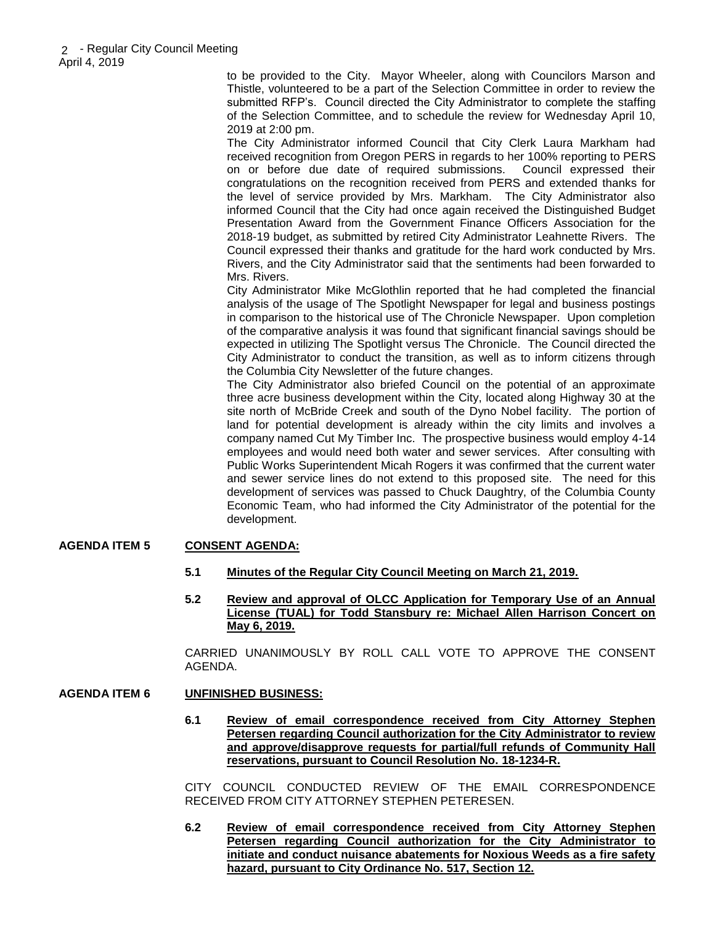to be provided to the City. Mayor Wheeler, along with Councilors Marson and Thistle, volunteered to be a part of the Selection Committee in order to review the submitted RFP's. Council directed the City Administrator to complete the staffing of the Selection Committee, and to schedule the review for Wednesday April 10, 2019 at 2:00 pm.

The City Administrator informed Council that City Clerk Laura Markham had received recognition from Oregon PERS in regards to her 100% reporting to PERS on or before due date of required submissions. Council expressed their congratulations on the recognition received from PERS and extended thanks for the level of service provided by Mrs. Markham. The City Administrator also informed Council that the City had once again received the Distinguished Budget Presentation Award from the Government Finance Officers Association for the 2018-19 budget, as submitted by retired City Administrator Leahnette Rivers. The Council expressed their thanks and gratitude for the hard work conducted by Mrs. Rivers, and the City Administrator said that the sentiments had been forwarded to Mrs. Rivers.

City Administrator Mike McGlothlin reported that he had completed the financial analysis of the usage of The Spotlight Newspaper for legal and business postings in comparison to the historical use of The Chronicle Newspaper. Upon completion of the comparative analysis it was found that significant financial savings should be expected in utilizing The Spotlight versus The Chronicle. The Council directed the City Administrator to conduct the transition, as well as to inform citizens through the Columbia City Newsletter of the future changes.

The City Administrator also briefed Council on the potential of an approximate three acre business development within the City, located along Highway 30 at the site north of McBride Creek and south of the Dyno Nobel facility. The portion of land for potential development is already within the city limits and involves a company named Cut My Timber Inc. The prospective business would employ 4-14 employees and would need both water and sewer services. After consulting with Public Works Superintendent Micah Rogers it was confirmed that the current water and sewer service lines do not extend to this proposed site. The need for this development of services was passed to Chuck Daughtry, of the Columbia County Economic Team, who had informed the City Administrator of the potential for the development.

# **AGENDA ITEM 5 CONSENT AGENDA:**

- **5.1 Minutes of the Regular City Council Meeting on March 21, 2019.**
- **5.2 Review and approval of OLCC Application for Temporary Use of an Annual License (TUAL) for Todd Stansbury re: Michael Allen Harrison Concert on May 6, 2019.**

CARRIED UNANIMOUSLY BY ROLL CALL VOTE TO APPROVE THE CONSENT AGENDA.

# **AGENDA ITEM 6 UNFINISHED BUSINESS:**

**6.1 Review of email correspondence received from City Attorney Stephen Petersen regarding Council authorization for the City Administrator to review and approve/disapprove requests for partial/full refunds of Community Hall reservations, pursuant to Council Resolution No. 18-1234-R.** 

CITY COUNCIL CONDUCTED REVIEW OF THE EMAIL CORRESPONDENCE RECEIVED FROM CITY ATTORNEY STEPHEN PETERESEN.

**6.2 Review of email correspondence received from City Attorney Stephen Petersen regarding Council authorization for the City Administrator to initiate and conduct nuisance abatements for Noxious Weeds as a fire safety hazard, pursuant to City Ordinance No. 517, Section 12.**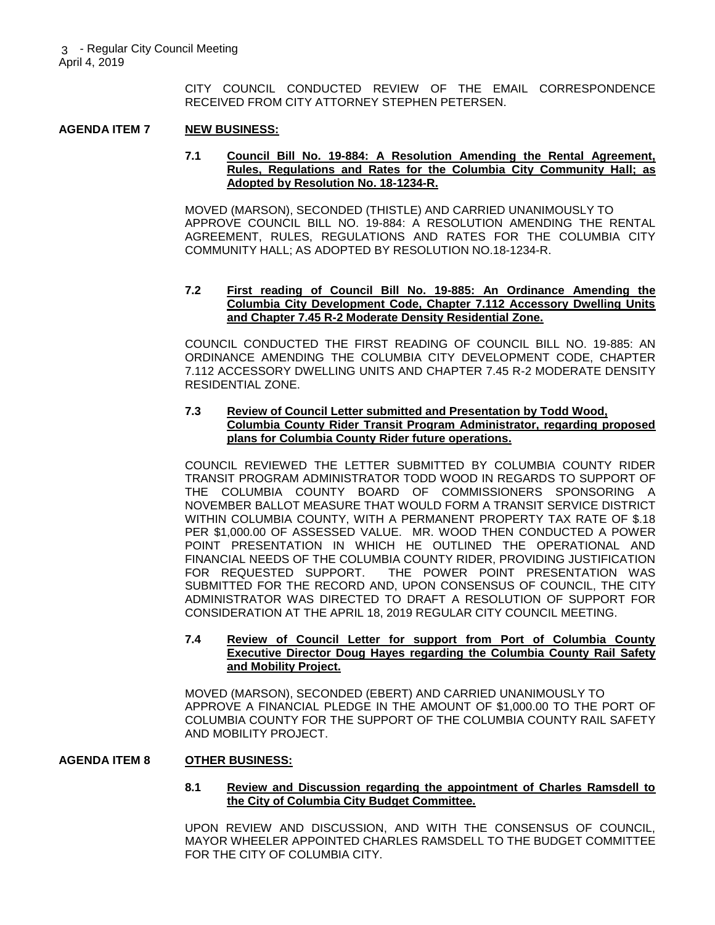CITY COUNCIL CONDUCTED REVIEW OF THE EMAIL CORRESPONDENCE RECEIVED FROM CITY ATTORNEY STEPHEN PETERSEN.

### **AGENDA ITEM 7 NEW BUSINESS:**

#### **7.1 Council Bill No. 19-884: A Resolution Amending the Rental Agreement, Rules, Regulations and Rates for the Columbia City Community Hall; as Adopted by Resolution No. 18-1234-R.**

MOVED (MARSON), SECONDED (THISTLE) AND CARRIED UNANIMOUSLY TO APPROVE COUNCIL BILL NO. 19-884: A RESOLUTION AMENDING THE RENTAL AGREEMENT, RULES, REGULATIONS AND RATES FOR THE COLUMBIA CITY COMMUNITY HALL; AS ADOPTED BY RESOLUTION NO.18-1234-R.

#### **7.2 First reading of Council Bill No. 19-885: An Ordinance Amending the Columbia City Development Code, Chapter 7.112 Accessory Dwelling Units and Chapter 7.45 R-2 Moderate Density Residential Zone.**

COUNCIL CONDUCTED THE FIRST READING OF COUNCIL BILL NO. 19-885: AN ORDINANCE AMENDING THE COLUMBIA CITY DEVELOPMENT CODE, CHAPTER 7.112 ACCESSORY DWELLING UNITS AND CHAPTER 7.45 R-2 MODERATE DENSITY RESIDENTIAL ZONE.

### **7.3 Review of Council Letter submitted and Presentation by Todd Wood, Columbia County Rider Transit Program Administrator, regarding proposed plans for Columbia County Rider future operations.**

COUNCIL REVIEWED THE LETTER SUBMITTED BY COLUMBIA COUNTY RIDER TRANSIT PROGRAM ADMINISTRATOR TODD WOOD IN REGARDS TO SUPPORT OF THE COLUMBIA COUNTY BOARD OF COMMISSIONERS SPONSORING A NOVEMBER BALLOT MEASURE THAT WOULD FORM A TRANSIT SERVICE DISTRICT WITHIN COLUMBIA COUNTY, WITH A PERMANENT PROPERTY TAX RATE OF \$.18 PER \$1,000.00 OF ASSESSED VALUE. MR. WOOD THEN CONDUCTED A POWER POINT PRESENTATION IN WHICH HE OUTLINED THE OPERATIONAL AND FINANCIAL NEEDS OF THE COLUMBIA COUNTY RIDER, PROVIDING JUSTIFICATION<br>FOR REQUESTED SUPPORT. THE POWER POINT PRESENTATION WAS THE POWER POINT PRESENTATION WAS SUBMITTED FOR THE RECORD AND, UPON CONSENSUS OF COUNCIL, THE CITY ADMINISTRATOR WAS DIRECTED TO DRAFT A RESOLUTION OF SUPPORT FOR CONSIDERATION AT THE APRIL 18, 2019 REGULAR CITY COUNCIL MEETING.

### **7.4 Review of Council Letter for support from Port of Columbia County Executive Director Doug Hayes regarding the Columbia County Rail Safety and Mobility Project.**

MOVED (MARSON), SECONDED (EBERT) AND CARRIED UNANIMOUSLY TO APPROVE A FINANCIAL PLEDGE IN THE AMOUNT OF \$1,000.00 TO THE PORT OF COLUMBIA COUNTY FOR THE SUPPORT OF THE COLUMBIA COUNTY RAIL SAFETY AND MOBILITY PROJECT.

### **AGENDA ITEM 8 OTHER BUSINESS:**

### **8.1 Review and Discussion regarding the appointment of Charles Ramsdell to the City of Columbia City Budget Committee.**

UPON REVIEW AND DISCUSSION, AND WITH THE CONSENSUS OF COUNCIL, MAYOR WHEELER APPOINTED CHARLES RAMSDELL TO THE BUDGET COMMITTEE FOR THE CITY OF COLUMBIA CITY.